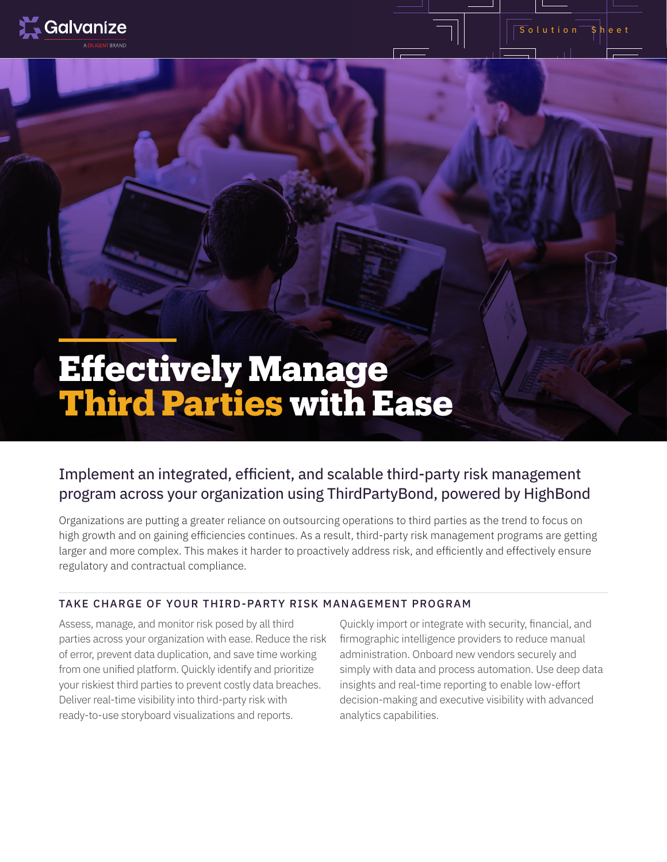

# **Effectively Manage Third Parties with Ease**

# Implement an integrated, efficient, and scalable third-party risk management program across your organization using ThirdPartyBond, powered by HighBond

Organizations are putting a greater reliance on outsourcing operations to third parties as the trend to focus on high growth and on gaining efficiencies continues. As a result, third-party risk management programs are getting larger and more complex. This makes it harder to proactively address risk, and efficiently and effectively ensure regulatory and contractual compliance.

### TAKE CHARGE OF YOUR THIRD-PARTY RISK MANAGEMENT PROGRAM

Assess, manage, and monitor risk posed by all third parties across your organization with ease. Reduce the risk of error, prevent data duplication, and save time working from one unified platform. Quickly identify and prioritize your riskiest third parties to prevent costly data breaches. Deliver real-time visibility into third-party risk with ready-to-use storyboard visualizations and reports.

Quickly import or integrate with security, financial, and firmographic intelligence providers to reduce manual administration. Onboard new vendors securely and simply with data and process automation. Use deep data insights and real-time reporting to enable low-effort decision-making and executive visibility with advanced analytics capabilities.

 $S$  olution  $\overline{\phantom{a}}$  Sheet